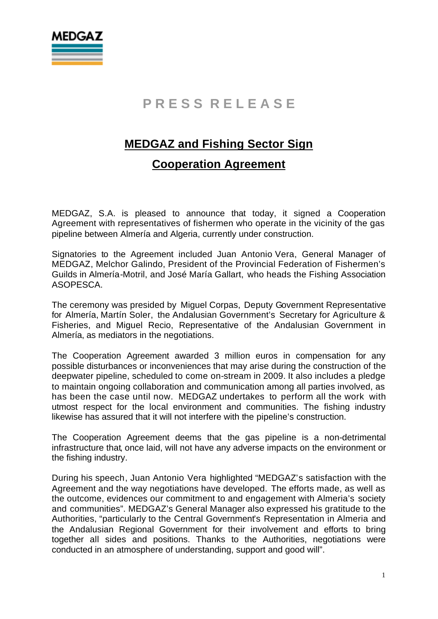

## **P R E S S R E L E A S E**

#### **MEDGAZ and Fishing Sector Sign**

#### **Cooperation Agreement**

MEDGAZ, S.A. is pleased to announce that today, it signed a Cooperation Agreement with representatives of fishermen who operate in the vicinity of the gas pipeline between Almería and Algeria, currently under construction.

Signatories to the Agreement included Juan Antonio Vera, General Manager of MEDGAZ, Melchor Galindo, President of the Provincial Federation of Fishermen's Guilds in Almería-Motril, and José María Gallart, who heads the Fishing Association ASOPESCA.

The ceremony was presided by Miguel Corpas, Deputy Government Representative for Almería, Martín Soler, the Andalusian Government's Secretary for Agriculture & Fisheries, and Miguel Recio, Representative of the Andalusian Government in Almería, as mediators in the negotiations.

The Cooperation Agreement awarded 3 million euros in compensation for any possible disturbances or inconveniences that may arise during the construction of the deepwater pipeline, scheduled to come on-stream in 2009. It also includes a pledge to maintain ongoing collaboration and communication among all parties involved, as has been the case until now. MEDGAZ undertakes to perform all the work with utmost respect for the local environment and communities. The fishing industry likewise has assured that it will not interfere with the pipeline's construction.

The Cooperation Agreement deems that the gas pipeline is a non-detrimental infrastructure that, once laid, will not have any adverse impacts on the environment or the fishing industry.

During his speech, Juan Antonio Vera highlighted "MEDGAZ's satisfaction with the Agreement and the way negotiations have developed. The efforts made, as well as the outcome, evidences our commitment to and engagement with Almeria's society and communities". MEDGAZ's General Manager also expressed his gratitude to the Authorities, "particularly to the Central Government's Representation in Almeria and the Andalusian Regional Government for their involvement and efforts to bring together all sides and positions. Thanks to the Authorities, negotiations were conducted in an atmosphere of understanding, support and good will".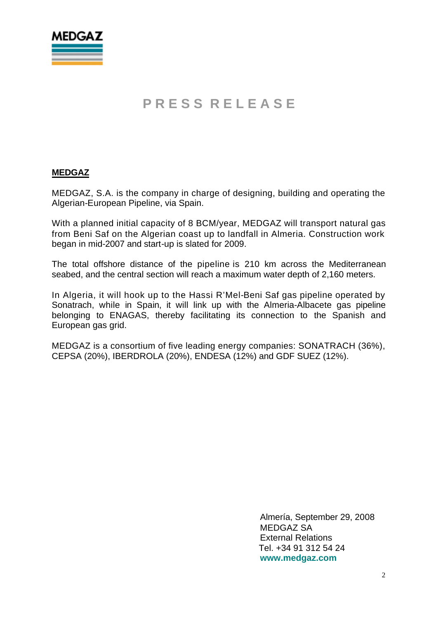

### **P R E S S R E L E A S E**

#### **MEDGAZ**

MEDGAZ, S.A. is the company in charge of designing, building and operating the Algerian-European Pipeline, via Spain.

With a planned initial capacity of 8 BCM/year, MEDGAZ will transport natural gas from Beni Saf on the Algerian coast up to landfall in Almeria. Construction work began in mid-2007 and start-up is slated for 2009.

The total offshore distance of the pipeline is 210 km across the Mediterranean seabed, and the central section will reach a maximum water depth of 2,160 meters.

In Algeria, it will hook up to the Hassi R'Mel-Beni Saf gas pipeline operated by Sonatrach, while in Spain, it will link up with the Almeria-Albacete gas pipeline belonging to ENAGAS, thereby facilitating its connection to the Spanish and European gas grid.

MEDGAZ is a consortium of five leading energy companies: SONATRACH (36%), CEPSA (20%), IBERDROLA (20%), ENDESA (12%) and GDF SUEZ (12%).

> Almería, September 29, 2008 MEDGAZ SA External Relations Tel. +34 91 312 54 24 **www.medgaz.com**